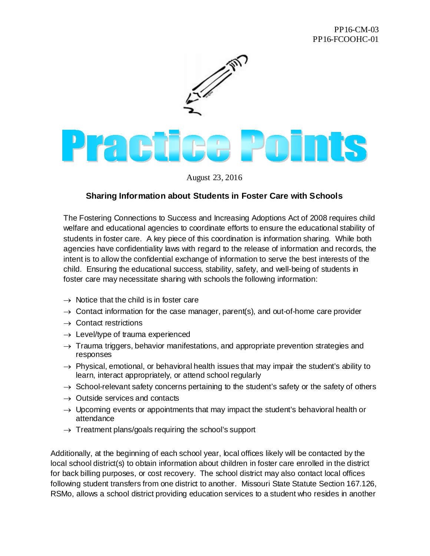

## **Praetice Points**

August 23, 2016

## **Sharing Information about Students in Foster Care with Schools**

The Fostering Connections to Success and Increasing Adoptions Act of 2008 requires child welfare and educational agencies to coordinate efforts to ensure the educational stability of students in foster care. A key piece of this coordination is information sharing. While both agencies have confidentiality laws with regard to the release of information and records, the intent is to allow the confidential exchange of information to serve the best interests of the child. Ensuring the educational success, stability, safety, and well-being of students in foster care may necessitate sharing with schools the following information:

- $\rightarrow$  Notice that the child is in foster care
- $\rightarrow$  Contact information for the case manager, parent(s), and out-of-home care provider
- $\rightarrow$  Contact restrictions
- $\rightarrow$  Level/type of trauma experienced
- $\rightarrow$  Trauma triggers, behavior manifestations, and appropriate prevention strategies and responses
- $\rightarrow$  Physical, emotional, or behavioral health issues that may impair the student's ability to learn, interact appropriately, or attend school regularly
- $\rightarrow$  School-relevant safety concerns pertaining to the student's safety or the safety of others
- $\rightarrow$  Outside services and contacts
- $\rightarrow$  Upcoming events or appointments that may impact the student's behavioral health or attendance
- $\rightarrow$  Treatment plans/goals requiring the school's support

Additionally, at the beginning of each school year, local offices likely will be contacted by the local school district(s) to obtain information about children in foster care enrolled in the district for back billing purposes, or cost recovery. The school district may also contact local offices following student transfers from one district to another. Missouri State Statute Section 167.126, RSMo, allows a school district providing education services to a student who resides in another